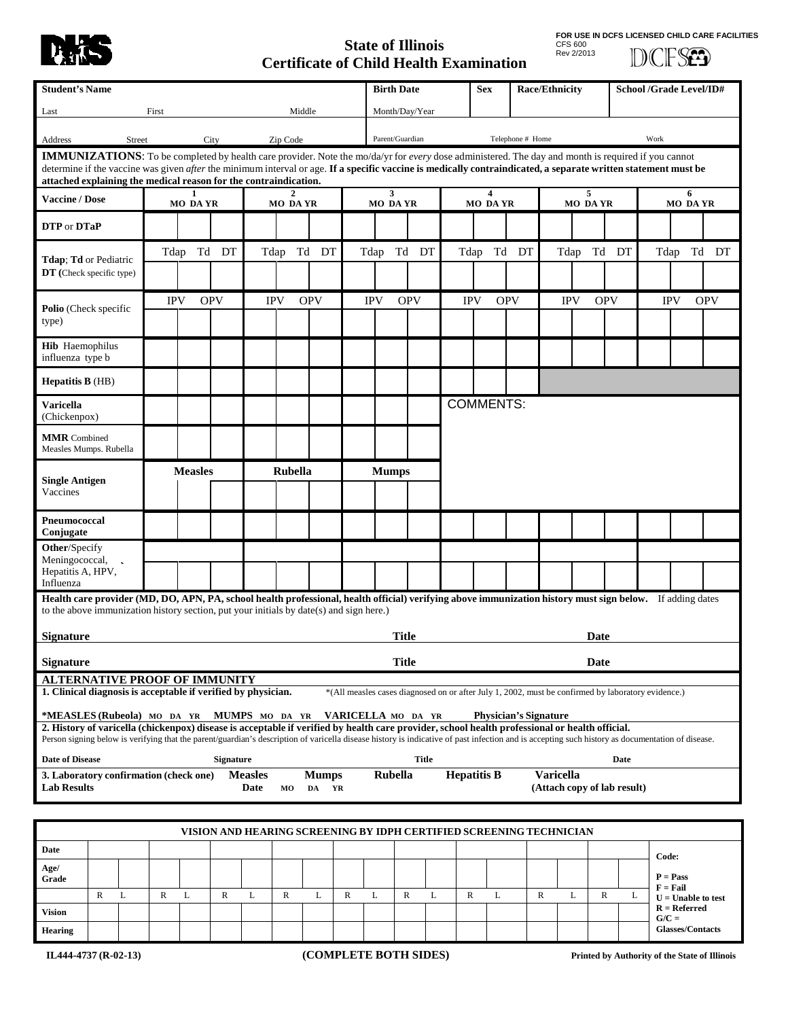

## **State of Illinois Certificate of Child Health Examination**

**FOR USE IN DCFS LICENSED CHILD CARE FACILITIES** CFS 600 Rev 2/2013

DCFSED

| <b>Student's Name</b>                                                                                                                                                                                                                                                                                                                                                                                                                                  |              |               |                |            |                  |                        |              |                       |              | <b>Birth Date</b>              |                 |              |                                                                                                    | <b>Race/Ethnicity</b><br><b>Sex</b> |                  |                  |            | <b>School /Grade Level/ID#</b> |                             |               |                                        |            |
|--------------------------------------------------------------------------------------------------------------------------------------------------------------------------------------------------------------------------------------------------------------------------------------------------------------------------------------------------------------------------------------------------------------------------------------------------------|--------------|---------------|----------------|------------|------------------|------------------------|--------------|-----------------------|--------------|--------------------------------|-----------------|--------------|----------------------------------------------------------------------------------------------------|-------------------------------------|------------------|------------------|------------|--------------------------------|-----------------------------|---------------|----------------------------------------|------------|
| Middle<br>First<br>Last                                                                                                                                                                                                                                                                                                                                                                                                                                |              |               |                |            |                  |                        |              |                       |              | Month/Day/Year                 |                 |              |                                                                                                    |                                     |                  |                  |            |                                |                             |               |                                        |            |
| Address                                                                                                                                                                                                                                                                                                                                                                                                                                                |              | <b>Street</b> |                |            | City             |                        | Zip Code     |                       |              |                                | Parent/Guardian |              |                                                                                                    |                                     | Telephone # Home |                  |            |                                |                             | Work          |                                        |            |
| <b>IMMUNIZATIONS:</b> To be completed by health care provider. Note the mo/da/yr for every dose administered. The day and month is required if you cannot<br>determine if the vaccine was given <i>after</i> the minimum interval or age. If a specific vaccine is medically contraindicated, a separate written statement must be<br>attached explaining the medical reason for the contraindication.                                                 |              |               |                |            |                  |                        |              |                       |              |                                |                 |              |                                                                                                    |                                     |                  |                  |            |                                |                             |               |                                        |            |
| <b>Vaccine / Dose</b>                                                                                                                                                                                                                                                                                                                                                                                                                                  |              |               | 1.<br>MO DAYR  |            |                  | <b>MO DAYR</b>         |              |                       |              | $\mathbf{3}$<br><b>MO DAYR</b> |                 |              | 4<br><b>MO DAYR</b>                                                                                |                                     |                  | 5<br>MO DAYR     |            |                                |                             | 6<br>MO DA YR |                                        |            |
| DTP or DTaP                                                                                                                                                                                                                                                                                                                                                                                                                                            |              |               |                |            |                  |                        |              |                       |              |                                |                 |              |                                                                                                    |                                     |                  |                  |            |                                |                             |               |                                        |            |
| <b>Tdap</b> ; <b>Td</b> or Pediatric<br>DT (Check specific type)                                                                                                                                                                                                                                                                                                                                                                                       |              |               |                | Tdap Td DT |                  |                        |              | Tdap Td DT            |              | Tdap                           |                 | Td DT        |                                                                                                    | Tdap Td DT                          |                  |                  | Tdap       |                                | Td DT                       |               |                                        | Tdap Td DT |
| Polio (Check specific                                                                                                                                                                                                                                                                                                                                                                                                                                  |              |               | <b>IPV</b>     |            | <b>OPV</b>       |                        | <b>IPV</b>   | <b>OPV</b>            |              | <b>IPV</b>                     | <b>OPV</b>      |              | <b>IPV</b>                                                                                         |                                     | <b>OPV</b>       |                  | <b>IPV</b> | <b>OPV</b>                     |                             |               | <b>IPV</b>                             | <b>OPV</b> |
| type)                                                                                                                                                                                                                                                                                                                                                                                                                                                  |              |               |                |            |                  |                        |              |                       |              |                                |                 |              |                                                                                                    |                                     |                  |                  |            |                                |                             |               |                                        |            |
| <b>Hib</b> Haemophilus<br>influenza type b                                                                                                                                                                                                                                                                                                                                                                                                             |              |               |                |            |                  |                        |              |                       |              |                                |                 |              |                                                                                                    |                                     |                  |                  |            |                                |                             |               |                                        |            |
| <b>Hepatitis B</b> (HB)                                                                                                                                                                                                                                                                                                                                                                                                                                |              |               |                |            |                  |                        |              |                       |              |                                |                 |              |                                                                                                    |                                     |                  |                  |            |                                |                             |               |                                        |            |
| <b>Varicella</b><br>(Chickenpox)                                                                                                                                                                                                                                                                                                                                                                                                                       |              |               |                |            |                  |                        |              |                       |              |                                |                 |              |                                                                                                    | <b>COMMENTS:</b>                    |                  |                  |            |                                |                             |               |                                        |            |
| <b>MMR</b> Combined<br>Measles Mumps. Rubella                                                                                                                                                                                                                                                                                                                                                                                                          |              |               |                |            |                  |                        |              |                       |              |                                |                 |              |                                                                                                    |                                     |                  |                  |            |                                |                             |               |                                        |            |
| <b>Single Antigen</b>                                                                                                                                                                                                                                                                                                                                                                                                                                  |              |               | <b>Measles</b> |            | <b>Rubella</b>   |                        |              | <b>Mumps</b>          |              |                                |                 |              |                                                                                                    |                                     |                  |                  |            |                                |                             |               |                                        |            |
| Vaccines                                                                                                                                                                                                                                                                                                                                                                                                                                               |              |               |                |            |                  |                        |              |                       |              |                                |                 |              |                                                                                                    |                                     |                  |                  |            |                                |                             |               |                                        |            |
| Pneumococcal<br>Conjugate                                                                                                                                                                                                                                                                                                                                                                                                                              |              |               |                |            |                  |                        |              |                       |              |                                |                 |              |                                                                                                    |                                     |                  |                  |            |                                |                             |               |                                        |            |
| Other/Specify<br>Meningococcal,                                                                                                                                                                                                                                                                                                                                                                                                                        |              |               |                |            |                  |                        |              |                       |              |                                |                 |              |                                                                                                    |                                     |                  |                  |            |                                |                             |               |                                        |            |
| Hepatitis A, HPV,<br>Influenza                                                                                                                                                                                                                                                                                                                                                                                                                         |              |               |                |            |                  |                        |              |                       |              |                                |                 |              |                                                                                                    |                                     |                  |                  |            |                                |                             |               |                                        |            |
| Health care provider (MD, DO, APN, PA, school health professional, health official) verifying above immunization history must sign below. If adding dates<br>to the above immunization history section, put your initials by date(s) and sign here.)                                                                                                                                                                                                   |              |               |                |            |                  |                        |              |                       |              |                                |                 |              |                                                                                                    |                                     |                  |                  |            |                                |                             |               |                                        |            |
| <b>Signature</b>                                                                                                                                                                                                                                                                                                                                                                                                                                       |              |               |                |            |                  |                        |              |                       |              |                                | <b>Title</b>    |              |                                                                                                    |                                     |                  |                  |            | Date                           |                             |               |                                        |            |
| <b>Signature</b>                                                                                                                                                                                                                                                                                                                                                                                                                                       |              |               |                |            |                  |                        |              |                       |              |                                | <b>Title</b>    |              |                                                                                                    |                                     |                  |                  |            | Date                           |                             |               |                                        |            |
| <b>ALTERNATIVE PROOF OF IMMUNITY</b>                                                                                                                                                                                                                                                                                                                                                                                                                   |              |               |                |            |                  |                        |              |                       |              |                                |                 |              |                                                                                                    |                                     |                  |                  |            |                                |                             |               |                                        |            |
| 1. Clinical diagnosis is acceptable if verified by physician.                                                                                                                                                                                                                                                                                                                                                                                          |              |               |                |            |                  |                        |              |                       |              |                                |                 |              | *(All measles cases diagnosed on or after July 1, 2002, must be confirmed by laboratory evidence.) |                                     |                  |                  |            |                                |                             |               |                                        |            |
| *MEASLES (Rubeola) MO DA YR MUMPS MO DA YR<br>VARICELLA MO DA YR<br><b>Physician's Signature</b><br>2. History of varicella (chickenpox) disease is acceptable if verified by health care provider, school health professional or health official.<br>Person signing below is verifying that the parent/guardian's description of varicella disease history is indicative of past infection and is accepting such history as documentation of disease. |              |               |                |            |                  |                        |              |                       |              |                                |                 |              |                                                                                                    |                                     |                  |                  |            |                                |                             |               |                                        |            |
| <b>Date of Disease</b>                                                                                                                                                                                                                                                                                                                                                                                                                                 |              |               |                |            | <b>Signature</b> |                        |              |                       |              |                                |                 | <b>Title</b> |                                                                                                    |                                     |                  |                  |            |                                | Date                        |               |                                        |            |
| 3. Laboratory confirmation (check one)<br><b>Lab Results</b>                                                                                                                                                                                                                                                                                                                                                                                           |              |               |                |            |                  | <b>Measles</b><br>Date | MO           | <b>Mumps</b><br>DA YR |              |                                | Rubella         |              |                                                                                                    | <b>Hepatitis B</b>                  |                  | <b>Varicella</b> |            |                                | (Attach copy of lab result) |               |                                        |            |
|                                                                                                                                                                                                                                                                                                                                                                                                                                                        |              |               |                |            |                  |                        |              |                       |              |                                |                 |              |                                                                                                    |                                     |                  |                  |            |                                |                             |               |                                        |            |
| VISION AND HEARING SCREENING BY IDPH CERTIFIED SCREENING TECHNICIAN                                                                                                                                                                                                                                                                                                                                                                                    |              |               |                |            |                  |                        |              |                       |              |                                |                 |              |                                                                                                    |                                     |                  |                  |            |                                |                             |               |                                        |            |
| Date                                                                                                                                                                                                                                                                                                                                                                                                                                                   |              |               |                |            |                  |                        |              |                       |              |                                |                 |              |                                                                                                    |                                     |                  |                  |            |                                |                             |               | Code:                                  |            |
| Age/<br>Grade                                                                                                                                                                                                                                                                                                                                                                                                                                          |              |               |                |            |                  |                        |              |                       |              |                                |                 |              |                                                                                                    |                                     |                  |                  |            |                                |                             |               | $P = Pass$<br>$F = Fail$               |            |
|                                                                                                                                                                                                                                                                                                                                                                                                                                                        | $\mathbb{R}$ | L             | R              | L          | $\mathbb{R}$     | L                      | $\mathbb{R}$ | L                     | $\mathbb{R}$ | L                              | R               | L            | $\mathbb R$                                                                                        | L                                   |                  | R                | L          | $\mathbb{R}$                   | L                           |               | $U =$ Unable to test<br>$R = Referred$ |            |
| <b>Vision</b><br><b>Hearing</b>                                                                                                                                                                                                                                                                                                                                                                                                                        |              |               |                |            |                  |                        |              |                       |              |                                |                 |              |                                                                                                    |                                     |                  |                  |            |                                |                             |               | $G/C =$<br><b>Glasses/Contacts</b>     |            |